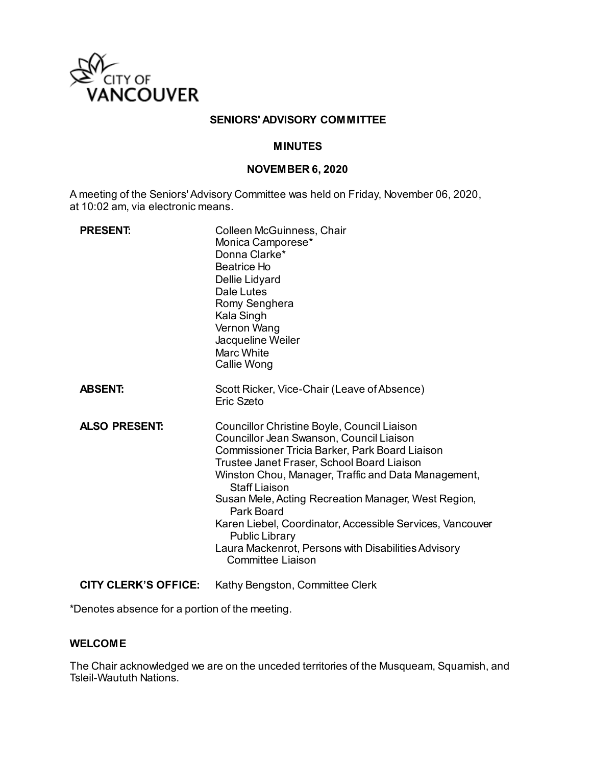

### **SENIORS' ADVISORY COMMITTEE**

### **MINUTES**

#### **NOVEMBER 6, 2020**

A meeting of the Seniors' Advisory Committee was held on Friday, November 06, 2020, at 10:02 am, via electronic means.

| <b>PRESENT:</b>      | Colleen McGuinness, Chair<br>Monica Camporese*<br>Donna Clarke*<br>Beatrice Ho<br>Dellie Lidyard<br>Dale Lutes<br>Romy Senghera<br>Kala Singh<br>Vernon Wang<br>Jacqueline Weiler<br>Marc White<br>Callie Wong                                                                                                                                                                                                                                                                                                |
|----------------------|---------------------------------------------------------------------------------------------------------------------------------------------------------------------------------------------------------------------------------------------------------------------------------------------------------------------------------------------------------------------------------------------------------------------------------------------------------------------------------------------------------------|
| <b>ABSENT:</b>       | Scott Ricker, Vice-Chair (Leave of Absence)<br>Eric Szeto                                                                                                                                                                                                                                                                                                                                                                                                                                                     |
| <b>ALSO PRESENT:</b> | Councillor Christine Boyle, Council Liaison<br>Councillor Jean Swanson, Council Liaison<br>Commissioner Tricia Barker, Park Board Liaison<br>Trustee Janet Fraser, School Board Liaison<br>Winston Chou, Manager, Traffic and Data Management,<br>Staff Liaison<br>Susan Mele, Acting Recreation Manager, West Region,<br>Park Board<br>Karen Liebel, Coordinator, Accessible Services, Vancouver<br><b>Public Library</b><br>Laura Mackenrot, Persons with Disabilities Advisory<br><b>Committee Liaison</b> |

**CITY CLERK'S OFFICE:** Kathy Bengston, Committee Clerk

\*Denotes absence for a portion of the meeting.

### **WELCOME**

The Chair acknowledged we are on the unceded territories of the Musqueam, Squamish, and Tsleil-Waututh Nations.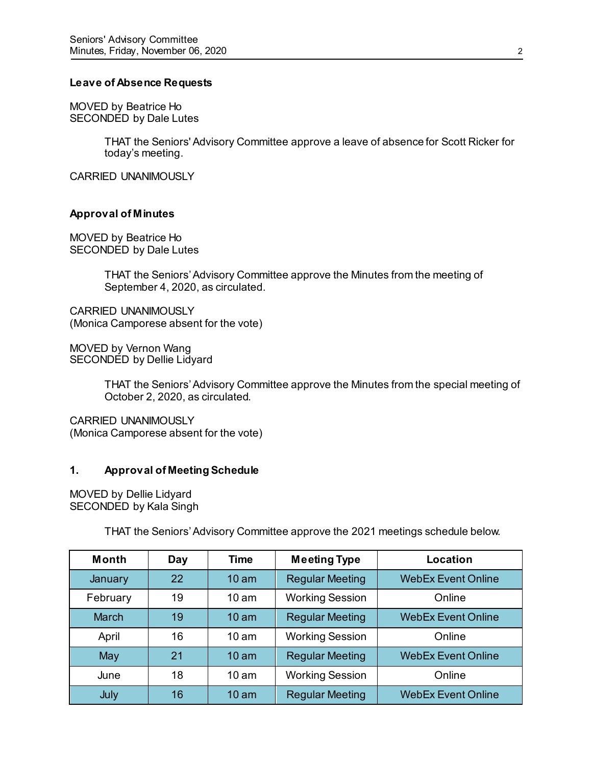### **Leave of Absence Requests**

MOVED by Beatrice Ho SECONDED by Dale Lutes

> THAT the Seniors' Advisory Committee approve a leave of absence for Scott Ricker for today's meeting.

CARRIED UNANIMOUSLY

### **Approval of Minutes**

MOVED by Beatrice Ho SECONDED by Dale Lutes

> THAT the Seniors' Advisory Committee approve the Minutes from the meeting of September 4, 2020, as circulated.

CARRIED UNANIMOUSLY (Monica Camporese absent for the vote)

MOVED by Vernon Wang SECONDED by Dellie Lidyard

> THAT the Seniors' Advisory Committee approve the Minutes from the special meeting of October 2, 2020, as circulated.

CARRIED UNANIMOUSLY (Monica Camporese absent for the vote)

### **1. Approval of Meeting Schedule**

MOVED by Dellie Lidyard SECONDED by Kala Singh

THAT the Seniors' Advisory Committee approve the 2021 meetings schedule below.

| <b>Month</b> | Day | <b>Time</b>      | <b>Meeting Type</b>    | Location                  |
|--------------|-----|------------------|------------------------|---------------------------|
| January      | 22  | 10 <sub>am</sub> | <b>Regular Meeting</b> | <b>WebEx Event Online</b> |
| February     | 19  | 10 <sub>am</sub> | <b>Working Session</b> | Online                    |
| <b>March</b> | 19  | 10 <sub>am</sub> | <b>Regular Meeting</b> | <b>WebEx Event Online</b> |
| April        | 16  | 10 <sub>am</sub> | <b>Working Session</b> | Online                    |
| May          | 21  | 10 <sub>am</sub> | <b>Regular Meeting</b> | <b>WebEx Event Online</b> |
| June         | 18  | 10 <sub>am</sub> | <b>Working Session</b> | Online                    |
| July         | 16  | 10 <sub>am</sub> | <b>Regular Meeting</b> | <b>WebEx Event Online</b> |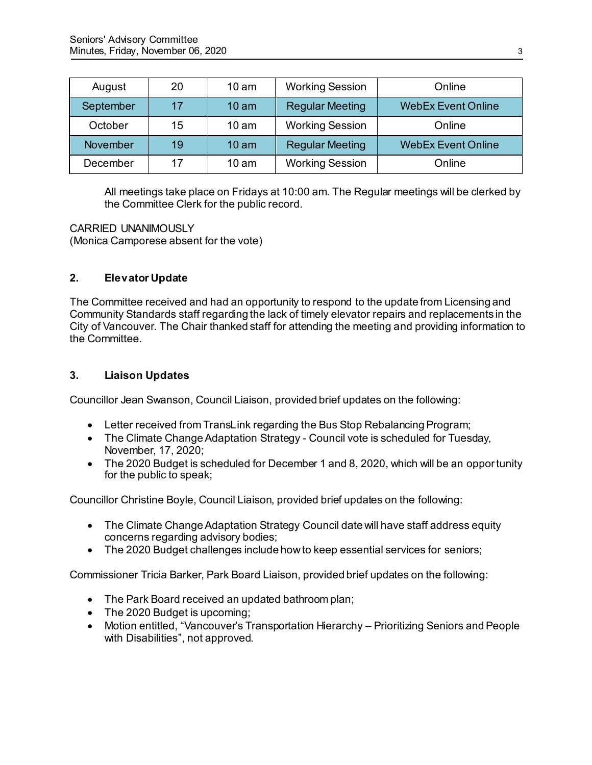| August    | 20 | $10 \text{ am}$  | <b>Working Session</b> | Online                    |
|-----------|----|------------------|------------------------|---------------------------|
| September | 17 | 10 <sub>am</sub> | <b>Regular Meeting</b> | <b>WebEx Event Online</b> |
| October   | 15 | $10 \text{ am}$  | <b>Working Session</b> | Online                    |
| November  | 19 | 10 <sub>am</sub> | <b>Regular Meeting</b> | <b>WebEx Event Online</b> |
| December  | 17 | 10 <sub>am</sub> | <b>Working Session</b> | Online                    |

All meetings take place on Fridays at 10:00 am. The Regular meetings will be clerked by the Committee Clerk for the public record.

CARRIED UNANIMOUSLY (Monica Camporese absent for the vote)

# **2. Elevator Update**

The Committee received and had an opportunity to respond to the update from Licensing and Community Standards staff regarding the lack of timely elevator repairs and replacements in the City of Vancouver. The Chair thanked staff for attending the meeting and providing information to the Committee.

## **3. Liaison Updates**

Councillor Jean Swanson, Council Liaison, provided brief updates on the following:

- Letter received from TransLink regarding the Bus Stop Rebalancing Program;
- The Climate Change Adaptation Strategy Council vote is scheduled for Tuesday, November, 17, 2020;
- The 2020 Budget is scheduled for December 1 and 8, 2020, which will be an opportunity for the public to speak;

Councillor Christine Boyle, Council Liaison, provided brief updates on the following:

- The Climate Change Adaptation Strategy Council date will have staff address equity concerns regarding advisory bodies;
- The 2020 Budget challenges include how to keep essential services for seniors;

Commissioner Tricia Barker, Park Board Liaison, provided brief updates on the following:

- The Park Board received an updated bathroom plan;
- The 2020 Budget is upcoming;
- Motion entitled, "Vancouver's Transportation Hierarchy Prioritizing Seniors and People with Disabilities", not approved.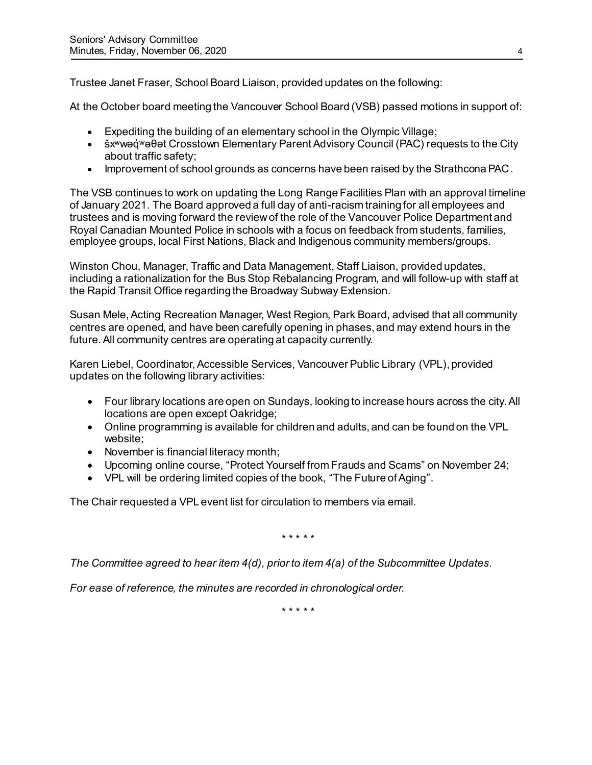Trustee Janet Fraser, School Board Liaison, provided updates on the following:

At the October board meeting the Vancouver School Board (VSB) passed motions in support of:

- Expediting the building of an elementary school in the Olympic Village;
- šx<sup>w</sup>wəq <sup>w</sup>əθət Crosstown Elementary Parent Advisory Council (PAC) requests to the City about traffic safety;
- Improvement of school grounds as concerns have been raised by the Strathcona PAC.

The VSB continues to work on updating the Long Range Facilities Plan with an approval timeline of January 2021. The Board approved a full day of anti-racism training for all employees and trustees and is moving forward the review of the role of the Vancouver Police Department and Royal Canadian Mounted Police in schools with a focus on feedback from students, families, employee groups, local First Nations, Black and Indigenous community members/groups.

Winston Chou, Manager, Traffic and Data Management, Staff Liaison, provided updates, including a rationalization for the Bus Stop Rebalancing Program, and will follow-up with staff at the Rapid Transit Office regarding the Broadway Subway Extension.

Susan Mele, Acting Recreation Manager, West Region, Park Board, advised that all community centres are opened, and have been carefully opening in phases, and may extend hours in the future. All community centres are operating at capacity currently.

Karen Liebel, Coordinator, Accessible Services, Vancouver Public Library (VPL), provided updates on the following library activities:

- Four library locations are open on Sundays, looking to increase hours across the city. All locations are open except Oakridge;
- Online programming is available for children and adults, and can be found on the VPL website;
- November is financial literacy month;
- Upcoming online course, "Protect Yourself from Frauds and Scams" on November 24;
- VPL will be ordering limited copies of the book, "The Future of Aging".

The Chair requested a VPL event list for circulation to members via email.

\* \* \* \* \*

*The Committee agreed to hear item 4(d), prior to item 4(a) of the Subcommittee Updates.* 

*For ease of reference, the minutes are recorded in chronological order.* 

\* \* \* \* \*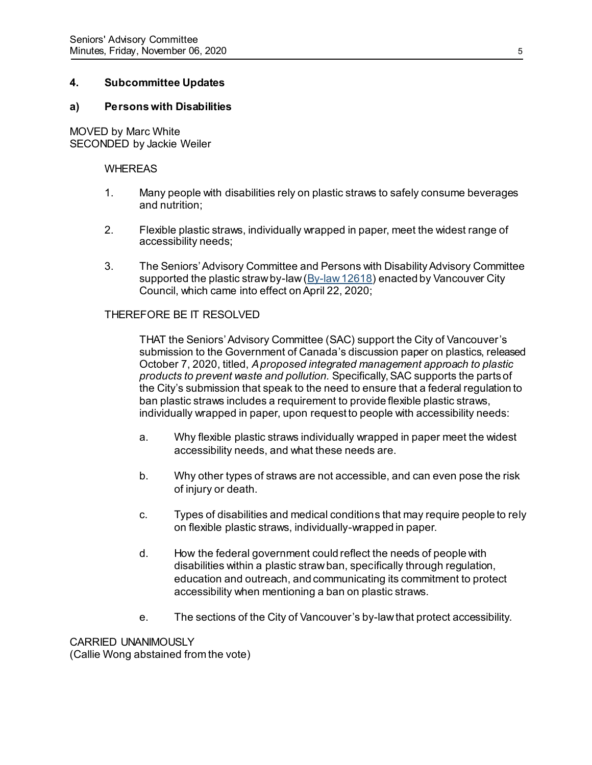## **4. Subcommittee Updates**

### **a) Persons with Disabilities**

MOVED by Marc White SECONDED by Jackie Weiler

#### WHEREAS

- 1. Many people with disabilities rely on plastic straws to safely consume beverages and nutrition;
- 2. Flexible plastic straws, individually wrapped in paper, meet the widest range of accessibility needs;
- 3. The Seniors' Advisory Committee and Persons with Disability Advisory Committee supported the plastic straw by-law  $(By$ -law 12618) enacted by Vancouver City Council, which came into effect on April 22, 2020;

### THEREFORE BE IT RESOLVED

THAT the Seniors' Advisory Committee (SAC) support the City of Vancouver's submission to the Government of Canada's discussion paper on plastics, released October 7, 2020, titled, *A proposed integrated management approach to plastic products to prevent waste and pollution.* Specifically, SAC supports the parts of the City's submission that speak to the need to ensure that a federal regulation to ban plastic straws includes a requirement to provide flexible plastic straws, individually wrapped in paper, upon request to people with accessibility needs:

- a. Why flexible plastic straws individually wrapped in paper meet the widest accessibility needs, and what these needs are.
- b. Why other types of straws are not accessible, and can even pose the risk of injury or death.
- c. Types of disabilities and medical conditions that may require people to rely on flexible plastic straws, individually-wrapped in paper.
- d. How the federal government could reflect the needs of people with disabilities within a plastic straw ban, specifically through regulation, education and outreach, and communicating its commitment to protect accessibility when mentioning a ban on plastic straws.
- e. The sections of the City of Vancouver's by-law that protect accessibility.

CARRIED UNANIMOUSLY (Callie Wong abstained from the vote)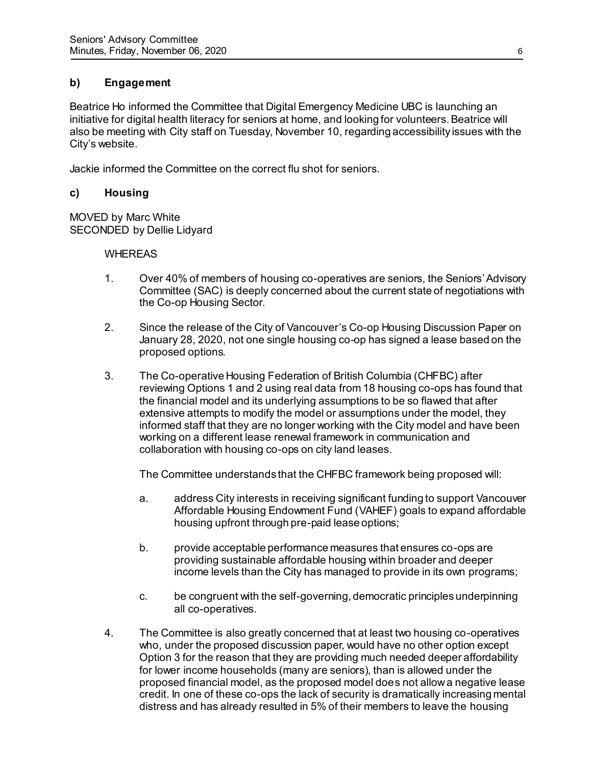# **b) Engagement**

Beatrice Ho informed the Committee that Digital Emergency Medicine UBC is launching an initiative for digital health literacy for seniors at home, and looking for volunteers. Beatrice will also be meeting with City staff on Tuesday, November 10, regarding accessibility issues with the City's website.

Jackie informed the Committee on the correct flu shot for seniors.

# **c) Housing**

MOVED by Marc White SECONDED by Dellie Lidyard

## WHEREAS

- 1. Over 40% of members of housing co-operatives are seniors, the Seniors'Advisory Committee (SAC) is deeply concerned about the current state of negotiations with the Co-op Housing Sector.
- 2. Since the release of the City of Vancouver's Co-op Housing Discussion Paper on January 28, 2020, not one single housing co-op has signed a lease based on the proposed options.
- 3. The Co-operative Housing Federation of British Columbia (CHFBC) after reviewing Options 1 and 2 using real data from 18 housing co-ops has found that the financial model and its underlying assumptions to be so flawed that after extensive attempts to modify the model or assumptions under the model, they informed staff that they are no longer working with the City model and have been working on a different lease renewal framework in communication and collaboration with housing co-ops on city land leases.

The Committee understands that the CHFBC framework being proposed will:

- a. address City interests in receiving significant funding to support Vancouver Affordable Housing Endowment Fund (VAHEF) goals to expand affordable housing upfront through pre-paid lease options;
- b. provide acceptable performance measures that ensures co-ops are providing sustainable affordable housing within broader and deeper income levels than the City has managed to provide in its own programs;
- c. be congruent with the self-governing, democratic principles underpinning all co-operatives.
- 4. The Committee is also greatly concerned that at least two housing co-operatives who, under the proposed discussion paper, would have no other option except Option 3 for the reason that they are providing much needed deeper affordability for lower income households (many are seniors), than is allowed under the proposed financial model, as the proposed model does not allow a negative lease credit. In one of these co-ops the lack of security is dramatically increasing mental distress and has already resulted in 5% of their members to leave the housing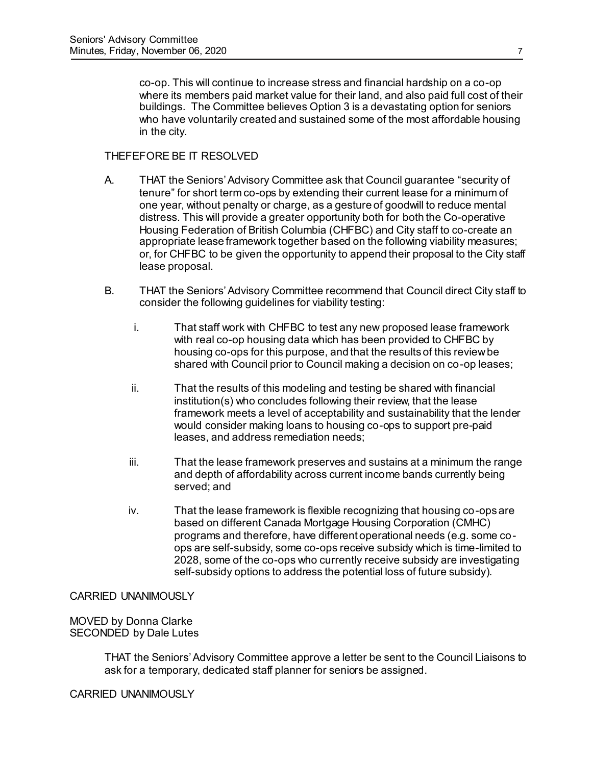co-op. This will continue to increase stress and financial hardship on a co-op where its members paid market value for their land, and also paid full cost of their buildings. The Committee believes Option 3 is a devastating option for seniors who have voluntarily created and sustained some of the most affordable housing in the city.

### THEFEFORE BE IT RESOLVED

- A. THAT the Seniors' Advisory Committee ask that Council guarantee "security of tenure" for short term co-ops by extending their current lease for a minimum of one year, without penalty or charge, as a gesture of goodwill to reduce mental distress. This will provide a greater opportunity both for both the Co-operative Housing Federation of British Columbia (CHFBC) and City staff to co-create an appropriate lease framework together based on the following viability measures; or, for CHFBC to be given the opportunity to append their proposal to the City staff lease proposal.
- B. THAT the Seniors' Advisory Committee recommend that Council direct City staff to consider the following guidelines for viability testing:
	- i. That staff work with CHFBC to test any new proposed lease framework with real co-op housing data which has been provided to CHFBC by housing co-ops for this purpose, and that the results of this review be shared with Council prior to Council making a decision on co-op leases;
	- ii. That the results of this modeling and testing be shared with financial institution(s) who concludes following their review, that the lease framework meets a level of acceptability and sustainability that the lender would consider making loans to housing co-ops to support pre-paid leases, and address remediation needs;
	- iii. That the lease framework preserves and sustains at a minimum the range and depth of affordability across current income bands currently being served; and
	- iv. That the lease framework is flexible recognizing that housing co-ops are based on different Canada Mortgage Housing Corporation (CMHC) programs and therefore, have different operational needs (e.g. some coops are self-subsidy, some co-ops receive subsidy which is time-limited to 2028, some of the co-ops who currently receive subsidy are investigating self-subsidy options to address the potential loss of future subsidy).

## CARRIED UNANIMOUSLY

MOVED by Donna Clarke SECONDED by Dale Lutes

> THAT the Seniors' Advisory Committee approve a letter be sent to the Council Liaisons to ask for a temporary, dedicated staff planner for seniors be assigned.

CARRIED UNANIMOUSLY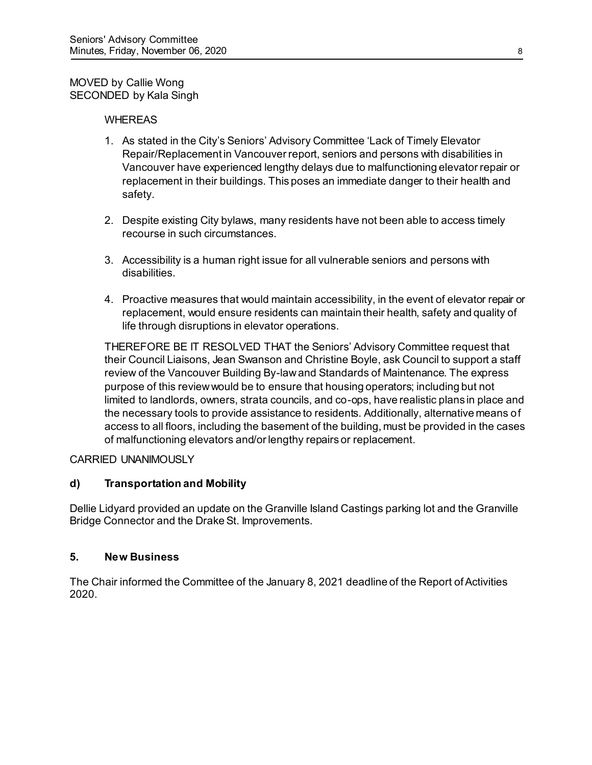## MOVED by Callie Wong SECONDED by Kala Singh

## WHEREAS

- 1. As stated in the City's Seniors' Advisory Committee 'Lack of Timely Elevator Repair/Replacement in Vancouver report, seniors and persons with disabilities in Vancouver have experienced lengthy delays due to malfunctioning elevator repair or replacement in their buildings. This poses an immediate danger to their health and safety.
- 2. Despite existing City bylaws, many residents have not been able to access timely recourse in such circumstances.
- 3. Accessibility is a human right issue for all vulnerable seniors and persons with disabilities.
- 4. Proactive measures that would maintain accessibility, in the event of elevator repair or replacement, would ensure residents can maintain their health, safety and quality of life through disruptions in elevator operations.

THEREFORE BE IT RESOLVED THAT the Seniors' Advisory Committee request that their Council Liaisons, Jean Swanson and Christine Boyle, ask Council to support a staff review of the Vancouver Building By-law and Standards of Maintenance. The express purpose of this review would be to ensure that housing operators; including but not limited to landlords, owners, strata councils, and co-ops, have realistic plans in place and the necessary tools to provide assistance to residents. Additionally, alternative means of access to all floors, including the basement of the building, must be provided in the cases of malfunctioning elevators and/or lengthy repairs or replacement.

CARRIED UNANIMOUSLY

# **d) Transportation and Mobility**

Dellie Lidyard provided an update on the Granville Island Castings parking lot and the Granville Bridge Connector and the Drake St. Improvements.

## **5. New Business**

The Chair informed the Committee of the January 8, 2021 deadline of the Report of Activities 2020.